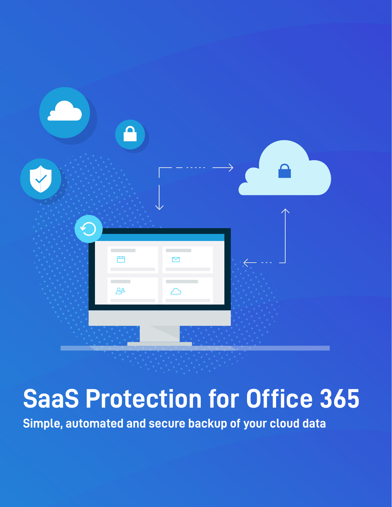

# **SaaS Protection for Office 365**

**Simple, automated and secure backup of your cloud data**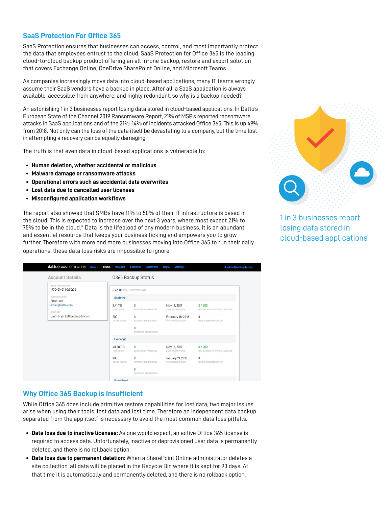# **SaaS Protection For Office 365**

SaaS Protection ensures that businesses can access, control, and most importantly protect the data that employees entrust to the cloud. SaaS Protection for Office 365 is the leading cloud-to-cloud backup product offering an all in-one backup, restore and export solution that covers Exchange Online, OneDrive SharePoint Online, and Microsoft Teams.

As companies increasingly move data into cloud-based applications, many IT teams wrongly assume their SaaS vendors have a backup in place. After all, a SaaS application is always available, accessible from anywhere, and highly redundant, so why is a backup needed?

An astonishing 1 in 3 businesses report losing data stored in cloud-based applications. In Datto's European State of the Channel 2019 Ransomware Report, 21% of MSP's reported ransomware attacks in SaaS applications and of the 21%, 14% of incidents attacked Office 365. This is up 49% from 2018. Not only can the loss of the data itself be devastating to a company, but the time lost in attempting a recovery can be equally damaging.

The truth is that even data in cloud-based applications is vulnerable to:

- **• Human deletion, whether accidental or malicious**
- **• Malware damage or ransomware attacks**
- **• Operational errors such as accidental data overwrites**
- **• Lost data due to cancelled user licenses**
- **• Misconfigured application workflows**

The report also showed that SMBs have 11% to 50% of their IT infrastructure is based in the cloud. This is expected to increase over the next 3 years, where most expect 21% to 75% to be in the cloud.\* Data is the lifeblood of any modern business. It is an abundant and essential resource that keeps your business ticking and empowers you to grow further. Therefore with more and more businesses moving into Office 365 to run their daily operations, these data loss risks are impossible to ignore.



1 in 3 businesses report losing data stored in cloud-based applications

| datto SAAS PROTECTION 0365 -<br><b>Status</b>                                                                                          | <b>OneDrive</b>                                        | <b>Exchange</b><br><b>SharePoint</b>                                                    | Settings -<br><b>Users</b>                                                 | <b>1</b> admin@backupify.com ~                                                 |
|----------------------------------------------------------------------------------------------------------------------------------------|--------------------------------------------------------|-----------------------------------------------------------------------------------------|----------------------------------------------------------------------------|--------------------------------------------------------------------------------|
| <b>Account Details</b>                                                                                                                 |                                                        | 0365 Backup Status                                                                      |                                                                            |                                                                                |
| REGISTRATION DATE<br>1970-01-01 00:00:00<br>ADMINISTRATOR<br>First Last<br>email@datto.com<br>NODE URL<br>use1-bfyii-258.backupify.com | <b>6.72 TB</b> TOTAL PROTECTED DATA<br><b>OneDrive</b> |                                                                                         |                                                                            |                                                                                |
|                                                                                                                                        | 5.41 TB<br>TOTAL DATA<br>200<br><b>ACTIVE USERS</b>    | $\overline{0}$<br><b>BACKUPS IN PROGRESS</b><br>$\Omega$<br><b>EXPORTS IN PROGRESS</b>  | May 16, 2019<br>LAST BACKUP DATE<br>February 18, 2018<br>FIRST BACKUP DATE | 0/200<br>NOT BACKED UP WITHIN 24 HOURS<br>$\mathbf{0}$<br>NEVER BEEN BACKED UP |
|                                                                                                                                        |                                                        | 0<br><b>RESTORES IN PROGRESS</b>                                                        |                                                                            |                                                                                |
|                                                                                                                                        | <b>Exchange</b>                                        |                                                                                         |                                                                            |                                                                                |
|                                                                                                                                        | 40.38 GB<br>TOTAL DATA                                 | 0<br><b>BACKUPS IN PROGRESS</b>                                                         | May 16, 2019<br>LAST BACKUP DATE                                           | 0/200<br>NOT BACKED UP WITHIN 24 HOURS                                         |
|                                                                                                                                        | 200<br>ACTIVE USERS                                    | $\overline{0}$<br><b>EXPORTS IN PROGRESS</b><br>$\Omega$<br><b>RESTORES IN PROGRESS</b> | January 21, 2018<br>FIRST BACKUP DATE                                      | $\mathbf 0$<br>NEVER BEEN BACKED UP                                            |
|                                                                                                                                        | <b>SharePoint</b>                                      |                                                                                         |                                                                            |                                                                                |

#### **Why Office 365 Backup is Insufficient**

While Office 365 does include primitive restore capabilities for lost data, two major issues arise when using their tools: lost data and lost time. Therefore an independent data backup separated from the app itself is necessary to avoid the most common data loss pitfalls.

- **• Data loss due to inactive licenses:** As one would expect, an active Office 365 license is required to access data. Unfortunately, inactive or deprovisioned user data is permanently deleted, and there is no rollback option.
- **• Data loss due to permanent deletion:** When a SharePoint Online administrator deletes a site collection, all data will be placed in the Recycle Bin where it is kept for 93 days. At that time it is automatically and permanently deleted, and there is no rollback option.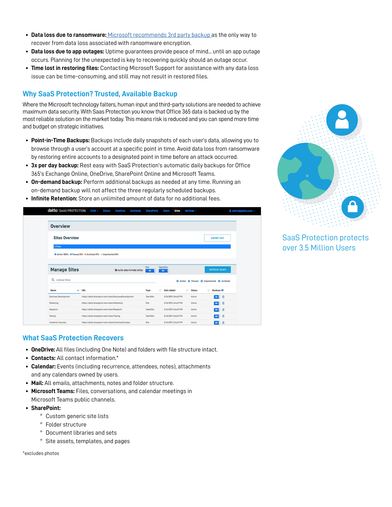- **• Data loss due to ransomware:** [Microsoft recommends 3rd party backup](https://www.microsoft.com/en-us/servicesagreement) as the only way to recover from data loss associated with ransomware encryption.
- **• Data loss due to app outages:** Uptime guarantees provide peace of mind... until an app outage occurs. Planning for the unexpected is key to recovering quickly should an outage occur.
- **• Time lost in restoring files:** Contacting Microsoft Support for assistance with any data loss issue can be time-consuming, and still may not result in restored files.

## **Why SaaS Protection? Trusted, Available Backup**

Where the Microsoft technology falters, human input and third-party solutions are needed to achieve maximum data security. With Saas Protection you know that Office 365 data is backed up by the most reliable solution on the market today. This means risk is reduced and you can spend more time and budget on strategic initiatives.

- **• Point-in-Time Backups:** Backups include daily snapshots of each user's data, allowing you to browse through a user's account at a specific point in time. Avoid data loss from ransomware by restoring entire accounts to a designated point in time before an attack occurred.
- **• 3x per day backup:** Rest easy with SaaS Protection's automatic daily backups for Office 365's Exchange Online, OneDrive, SharePoint Online and Microsoft Teams.
- **• On-demand backup:** Perform additional backups as needed at any time. Running an on-demand backup will not affect the three regularly scheduled backups.
- **• Infinite Retention:** Store an unlimited amount of data for no additional fees.





# SaaS Protection protects over 3.5 Million Users

### **What SaaS Protection Recovers**

- **• OneDrive:** All files (including One Note) and folders with file structure intact.
- **• Contacts:** All contact information.\*
- **• Calendar:** Events (including recurrence, attendees, notes), attachments and any calendars owned by users.
- **• Mail:** All emails, attachments, notes and folder structure.
- **• Microsoft Teams:** Files, conversations, and calendar meetings in Microsoft Teams public channels.
- **• SharePoint:**
	- ° Custom generic site lists
	- ° Folder structure
	- ° Document libraries and sets
	- ° Site assets, templates, and pages

\*excludes photos